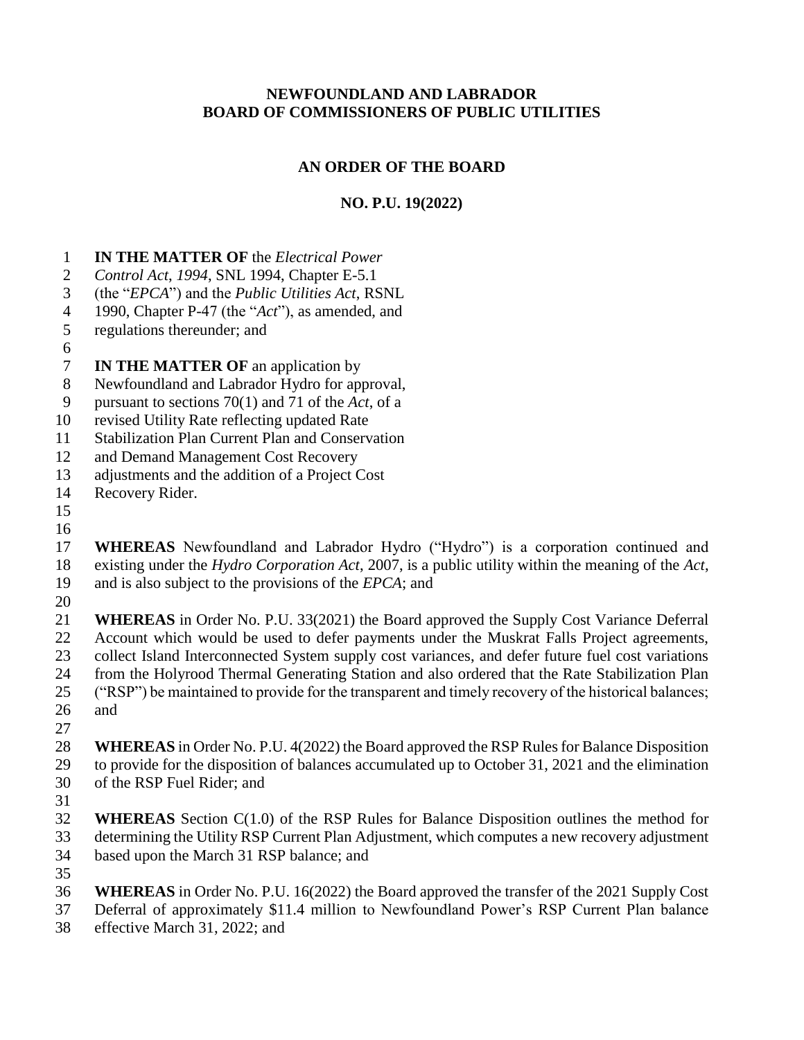### **NEWFOUNDLAND AND LABRADOR BOARD OF COMMISSIONERS OF PUBLIC UTILITIES**

# **AN ORDER OF THE BOARD**

# **NO. P.U. 19(2022)**

- **IN THE MATTER OF** the *Electrical Power*
- *Control Act*, *1994*, SNL 1994, Chapter E-5.1
- (the "*EPCA*") and the *Public Utilities Act*, RSNL
- 1990, Chapter P-47 (the "*Act*"), as amended, and
- regulations thereunder; and
- 

# **IN THE MATTER OF** an application by

- Newfoundland and Labrador Hydro for approval,
- pursuant to sections 70(1) and 71 of the *Act*, of a
- revised Utility Rate reflecting updated Rate
- Stabilization Plan Current Plan and Conservation
- and Demand Management Cost Recovery
- adjustments and the addition of a Project Cost
- Recovery Rider.
- 
- 

 **WHEREAS** Newfoundland and Labrador Hydro ("Hydro") is a corporation continued and existing under the *Hydro Corporation Act*, 2007, is a public utility within the meaning of the *Act*, and is also subject to the provisions of the *EPCA*; and

 **WHEREAS** in Order No. P.U. 33(2021) the Board approved the Supply Cost Variance Deferral Account which would be used to defer payments under the Muskrat Falls Project agreements, collect Island Interconnected System supply cost variances, and defer future fuel cost variations from the Holyrood Thermal Generating Station and also ordered that the Rate Stabilization Plan ("RSP") be maintained to provide for the transparent and timely recovery of the historical balances; and

 **WHEREAS** in Order No. P.U. 4(2022) the Board approved the RSP Rules for Balance Disposition to provide for the disposition of balances accumulated up to October 31, 2021 and the elimination of the RSP Fuel Rider; and

 **WHEREAS** Section C(1.0) of the RSP Rules for Balance Disposition outlines the method for determining the Utility RSP Current Plan Adjustment, which computes a new recovery adjustment based upon the March 31 RSP balance; and

**WHEREAS** in Order No. P.U. 16(2022) the Board approved the transfer of the 2021 Supply Cost

- Deferral of approximately \$11.4 million to Newfoundland Power's RSP Current Plan balance
- effective March 31, 2022; and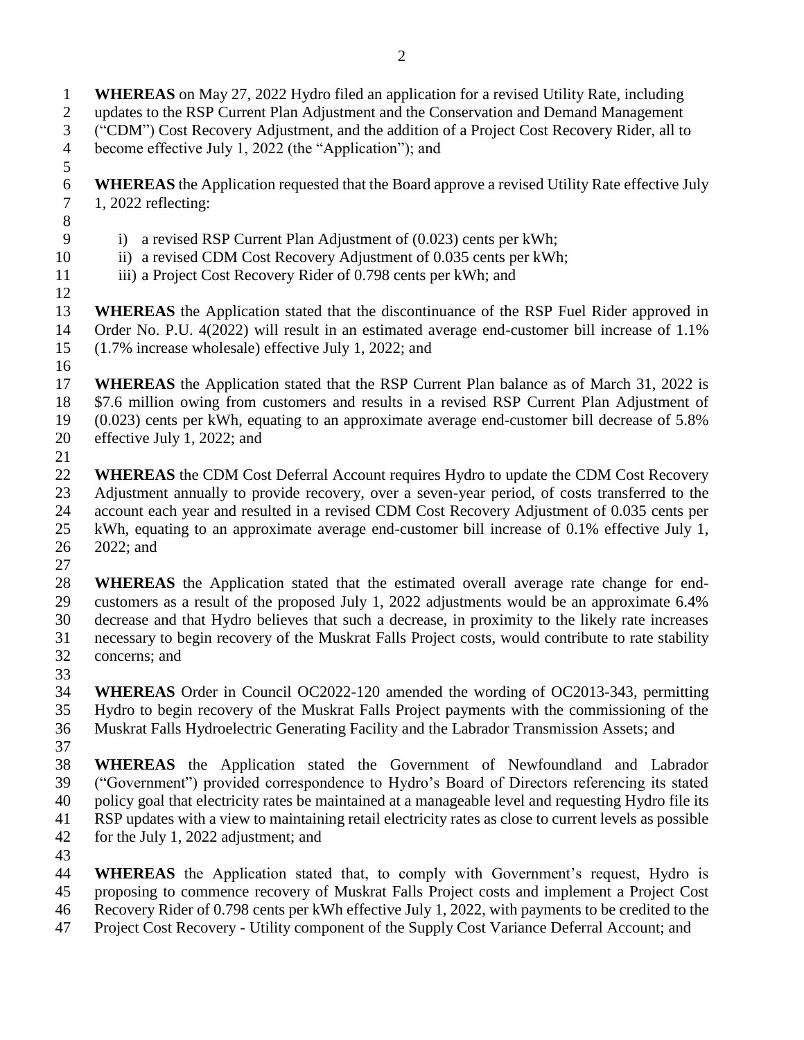**WHEREAS** on May 27, 2022 Hydro filed an application for a revised Utility Rate, including updates to the RSP Current Plan Adjustment and the Conservation and Demand Management ("CDM") Cost Recovery Adjustment, and the addition of a Project Cost Recovery Rider, all to become effective July 1, 2022 (the "Application"); and

- **WHEREAS** the Application requested that the Board approve a revised Utility Rate effective July 1, 2022 reflecting:
- 

- i) a revised RSP Current Plan Adjustment of (0.023) cents per kWh;
- 10 ii) a revised CDM Cost Recovery Adjustment of 0.035 cents per kWh;
- iii) a Project Cost Recovery Rider of 0.798 cents per kWh; and

 **WHEREAS** the Application stated that the discontinuance of the RSP Fuel Rider approved in Order No. P.U. 4(2022) will result in an estimated average end-customer bill increase of 1.1% (1.7% increase wholesale) effective July 1, 2022; and

 **WHEREAS** the Application stated that the RSP Current Plan balance as of March 31, 2022 is \$7.6 million owing from customers and results in a revised RSP Current Plan Adjustment of (0.023) cents per kWh, equating to an approximate average end-customer bill decrease of 5.8% effective July 1, 2022; and

 **WHEREAS** the CDM Cost Deferral Account requires Hydro to update the CDM Cost Recovery Adjustment annually to provide recovery, over a seven-year period, of costs transferred to the account each year and resulted in a revised CDM Cost Recovery Adjustment of 0.035 cents per kWh, equating to an approximate average end-customer bill increase of 0.1% effective July 1, 2022; and

 **WHEREAS** the Application stated that the estimated overall average rate change for end- customers as a result of the proposed July 1, 2022 adjustments would be an approximate 6.4% decrease and that Hydro believes that such a decrease, in proximity to the likely rate increases necessary to begin recovery of the Muskrat Falls Project costs, would contribute to rate stability concerns; and

 **WHEREAS** Order in Council OC2022-120 amended the wording of OC2013-343, permitting Hydro to begin recovery of the Muskrat Falls Project payments with the commissioning of the

- Muskrat Falls Hydroelectric Generating Facility and the Labrador Transmission Assets; and
- 

 **WHEREAS** the Application stated the Government of Newfoundland and Labrador ("Government") provided correspondence to Hydro's Board of Directors referencing its stated policy goal that electricity rates be maintained at a manageable level and requesting Hydro file its RSP updates with a view to maintaining retail electricity rates as close to current levels as possible for the July 1, 2022 adjustment; and

 **WHEREAS** the Application stated that, to comply with Government's request, Hydro is proposing to commence recovery of Muskrat Falls Project costs and implement a Project Cost Recovery Rider of 0.798 cents per kWh effective July 1, 2022, with payments to be credited to the Project Cost Recovery - Utility component of the Supply Cost Variance Deferral Account; and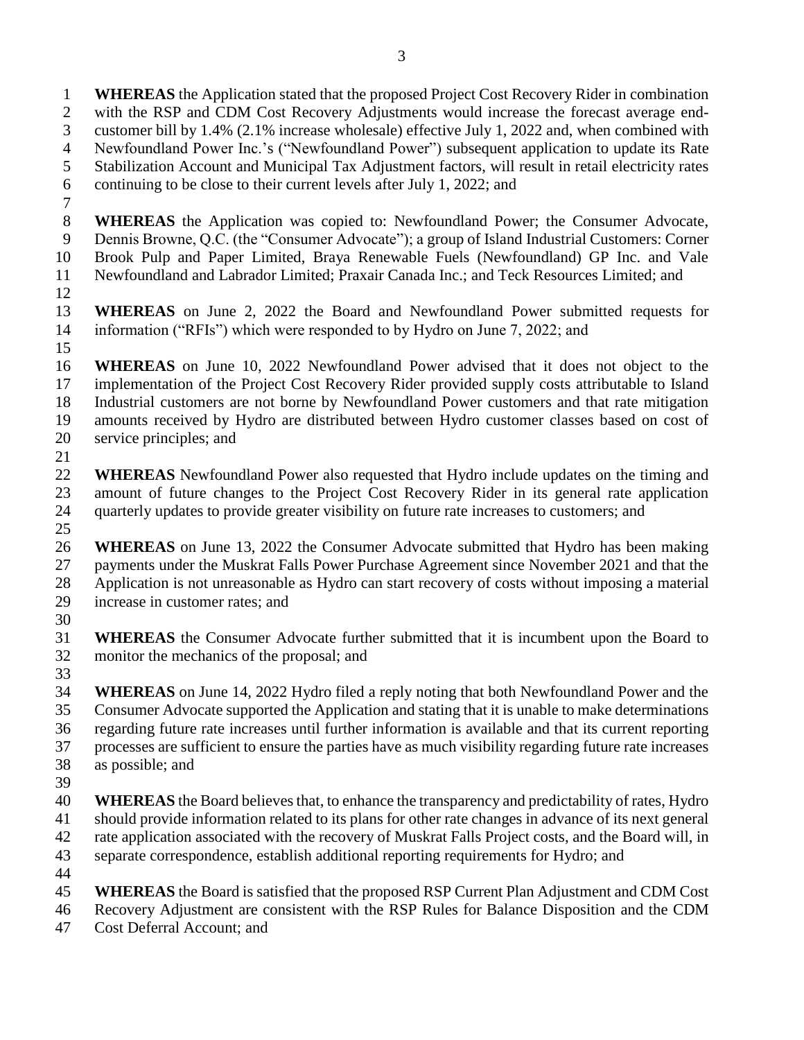**WHEREAS** the Application stated that the proposed Project Cost Recovery Rider in combination with the RSP and CDM Cost Recovery Adjustments would increase the forecast average end- customer bill by 1.4% (2.1% increase wholesale) effective July 1, 2022 and, when combined with Newfoundland Power Inc.'s ("Newfoundland Power") subsequent application to update its Rate Stabilization Account and Municipal Tax Adjustment factors, will result in retail electricity rates continuing to be close to their current levels after July 1, 2022; and

- 
- **WHEREAS** the Application was copied to: Newfoundland Power; the Consumer Advocate, Dennis Browne, Q.C. (the "Consumer Advocate"); a group of Island Industrial Customers: Corner Brook Pulp and Paper Limited, Braya Renewable Fuels (Newfoundland) GP Inc. and Vale
- Newfoundland and Labrador Limited; Praxair Canada Inc.; and Teck Resources Limited; and
- 
- **WHEREAS** on June 2, 2022 the Board and Newfoundland Power submitted requests for 14 information ("RFIs") which were responded to by Hydro on June 7, 2022; and
- 
- **WHEREAS** on June 10, 2022 Newfoundland Power advised that it does not object to the implementation of the Project Cost Recovery Rider provided supply costs attributable to Island Industrial customers are not borne by Newfoundland Power customers and that rate mitigation amounts received by Hydro are distributed between Hydro customer classes based on cost of service principles; and
- 
- **WHEREAS** Newfoundland Power also requested that Hydro include updates on the timing and amount of future changes to the Project Cost Recovery Rider in its general rate application quarterly updates to provide greater visibility on future rate increases to customers; and
- **WHEREAS** on June 13, 2022 the Consumer Advocate submitted that Hydro has been making payments under the Muskrat Falls Power Purchase Agreement since November 2021 and that the Application is not unreasonable as Hydro can start recovery of costs without imposing a material increase in customer rates; and
- 
- **WHEREAS** the Consumer Advocate further submitted that it is incumbent upon the Board to monitor the mechanics of the proposal; and
- 
- **WHEREAS** on June 14, 2022 Hydro filed a reply noting that both Newfoundland Power and the Consumer Advocate supported the Application and stating that it is unable to make determinations regarding future rate increases until further information is available and that its current reporting processes are sufficient to ensure the parties have as much visibility regarding future rate increases as possible; and
- 
- **WHEREAS** the Board believes that, to enhance the transparency and predictability of rates, Hydro should provide information related to its plans for other rate changes in advance of its next general rate application associated with the recovery of Muskrat Falls Project costs, and the Board will, in
- separate correspondence, establish additional reporting requirements for Hydro; and
- 
- **WHEREAS** the Board is satisfied that the proposed RSP Current Plan Adjustment and CDM Cost
- Recovery Adjustment are consistent with the RSP Rules for Balance Disposition and the CDM
- Cost Deferral Account; and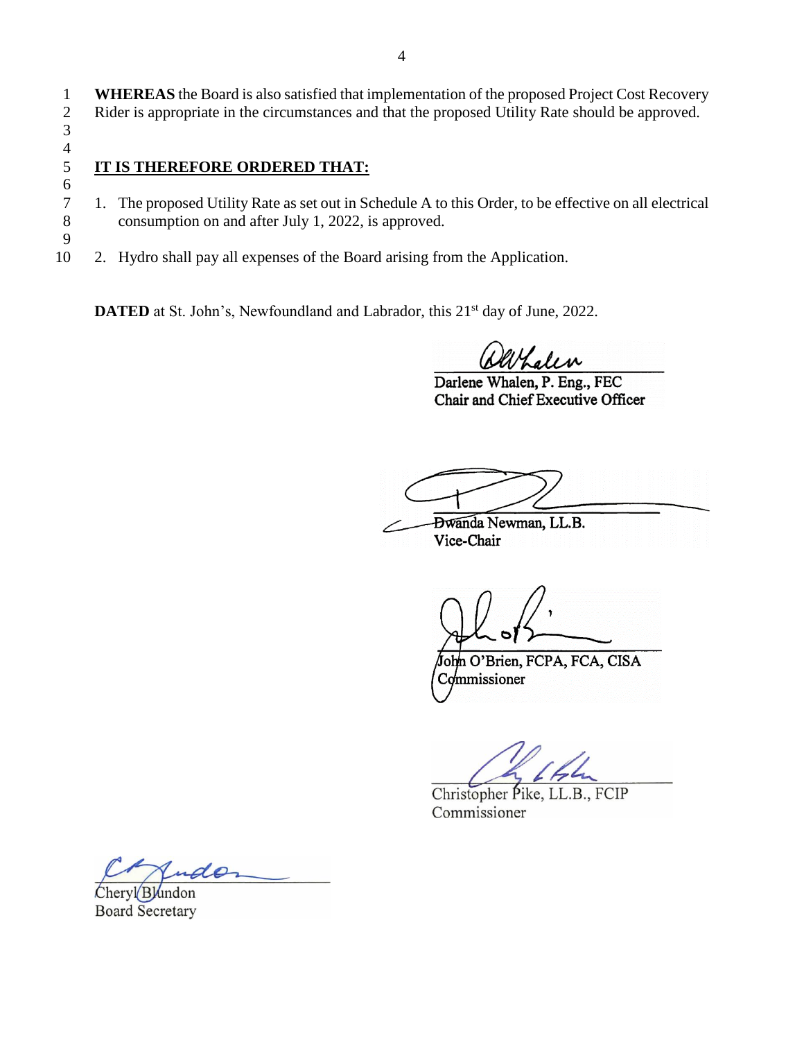1 **WHEREAS** the Board is also satisfied that implementation of the proposed Project Cost Recovery 2 Rider is appropriate in the circumstances and that the proposed Utility Rate should be approved. 3

# $\frac{4}{5}$

6

9

# 5 **IT IS THEREFORE ORDERED THAT:**

- 7 1. The proposed Utility Rate as set out in Schedule A to this Order, to be effective on all electrical consumption on and after July 1, 2022, is approved. consumption on and after July 1, 2022, is approved.
- 10 2. Hydro shall pay all expenses of the Board arising from the Application.

**DATED** at St. John's, Newfoundland and Labrador, this 21<sup>st</sup> day of June, 2022.

Kalen

Darlene Whalen, P. Eng., FEC Chair and Chief Executive Officer

**Dwanda Newman**, LL.B.

Vice-Chair

John O'Brien, FCPA, FCA, CISA Commissioner

Christopher Pike, LL.B., FCIP Commissioner

Indo

Cheryl Blundon **Board Secretary**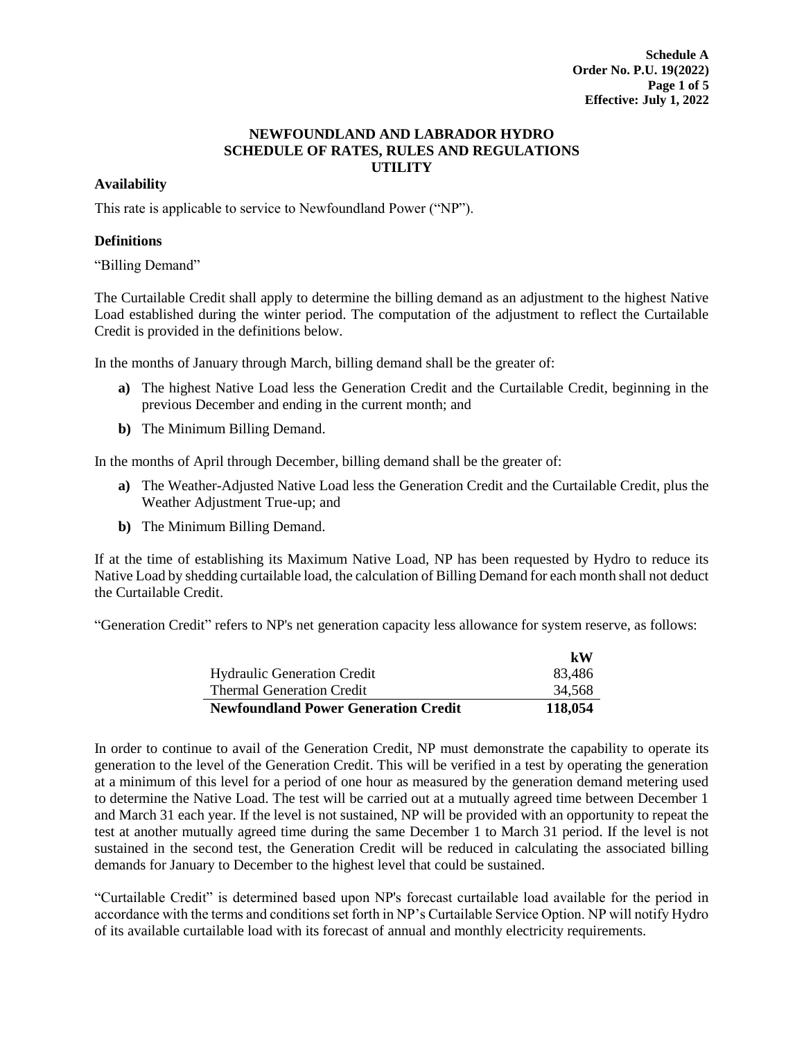#### **Availability**

This rate is applicable to service to Newfoundland Power ("NP").

#### **Definitions**

"Billing Demand"

The Curtailable Credit shall apply to determine the billing demand as an adjustment to the highest Native Load established during the winter period. The computation of the adjustment to reflect the Curtailable Credit is provided in the definitions below.

In the months of January through March, billing demand shall be the greater of:

- **a)** The highest Native Load less the Generation Credit and the Curtailable Credit, beginning in the previous December and ending in the current month; and
- **b)** The Minimum Billing Demand.

In the months of April through December, billing demand shall be the greater of:

- **a)** The Weather-Adjusted Native Load less the Generation Credit and the Curtailable Credit, plus the Weather Adjustment True-up; and
- **b)** The Minimum Billing Demand.

If at the time of establishing its Maximum Native Load, NP has been requested by Hydro to reduce its Native Load by shedding curtailable load, the calculation of Billing Demand for each month shall not deduct the Curtailable Credit.

"Generation Credit" refers to NP's net generation capacity less allowance for system reserve, as follows:

|                                             | kW      |
|---------------------------------------------|---------|
| <b>Hydraulic Generation Credit</b>          | 83.486  |
| <b>Thermal Generation Credit</b>            | 34,568  |
| <b>Newfoundland Power Generation Credit</b> | 118,054 |

In order to continue to avail of the Generation Credit, NP must demonstrate the capability to operate its generation to the level of the Generation Credit. This will be verified in a test by operating the generation at a minimum of this level for a period of one hour as measured by the generation demand metering used to determine the Native Load. The test will be carried out at a mutually agreed time between December 1 and March 31 each year. If the level is not sustained, NP will be provided with an opportunity to repeat the test at another mutually agreed time during the same December 1 to March 31 period. If the level is not sustained in the second test, the Generation Credit will be reduced in calculating the associated billing demands for January to December to the highest level that could be sustained.

"Curtailable Credit" is determined based upon NP's forecast curtailable load available for the period in accordance with the terms and conditions set forth in NP's Curtailable Service Option. NP will notify Hydro of its available curtailable load with its forecast of annual and monthly electricity requirements.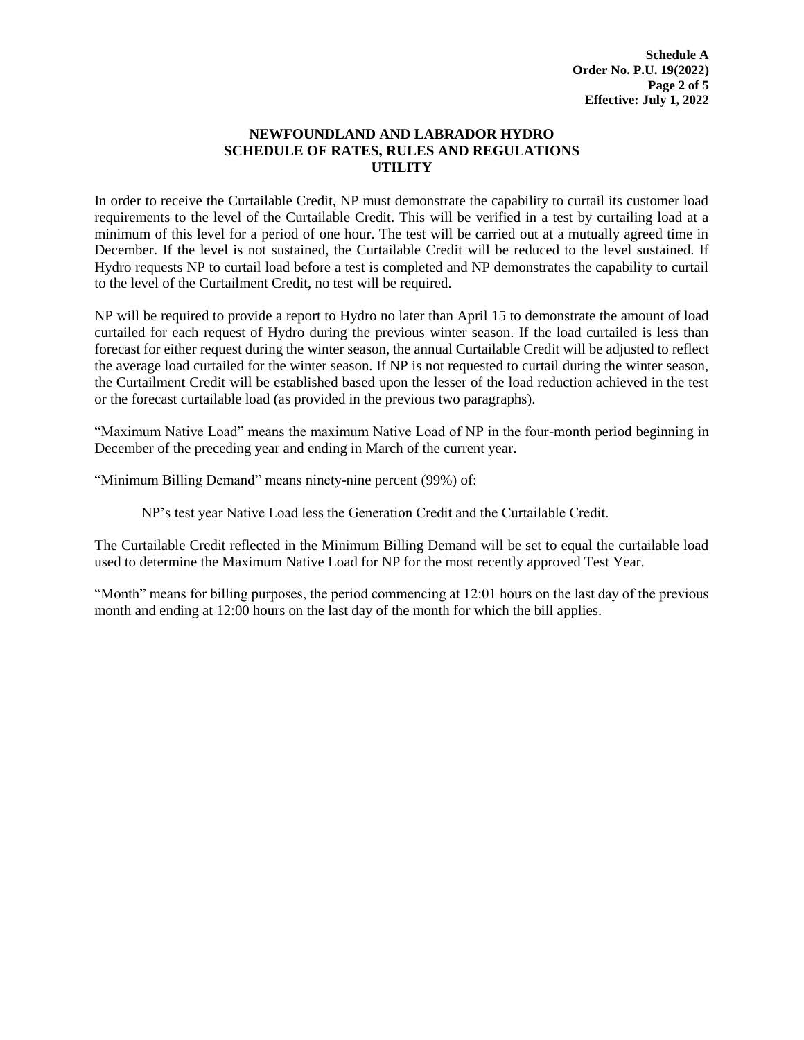In order to receive the Curtailable Credit, NP must demonstrate the capability to curtail its customer load requirements to the level of the Curtailable Credit. This will be verified in a test by curtailing load at a minimum of this level for a period of one hour. The test will be carried out at a mutually agreed time in December. If the level is not sustained, the Curtailable Credit will be reduced to the level sustained. If Hydro requests NP to curtail load before a test is completed and NP demonstrates the capability to curtail to the level of the Curtailment Credit, no test will be required.

NP will be required to provide a report to Hydro no later than April 15 to demonstrate the amount of load curtailed for each request of Hydro during the previous winter season. If the load curtailed is less than forecast for either request during the winter season, the annual Curtailable Credit will be adjusted to reflect the average load curtailed for the winter season. If NP is not requested to curtail during the winter season, the Curtailment Credit will be established based upon the lesser of the load reduction achieved in the test or the forecast curtailable load (as provided in the previous two paragraphs).

"Maximum Native Load" means the maximum Native Load of NP in the four-month period beginning in December of the preceding year and ending in March of the current year.

"Minimum Billing Demand" means ninety-nine percent (99%) of:

NP's test year Native Load less the Generation Credit and the Curtailable Credit.

The Curtailable Credit reflected in the Minimum Billing Demand will be set to equal the curtailable load used to determine the Maximum Native Load for NP for the most recently approved Test Year.

"Month" means for billing purposes, the period commencing at 12:01 hours on the last day of the previous month and ending at 12:00 hours on the last day of the month for which the bill applies.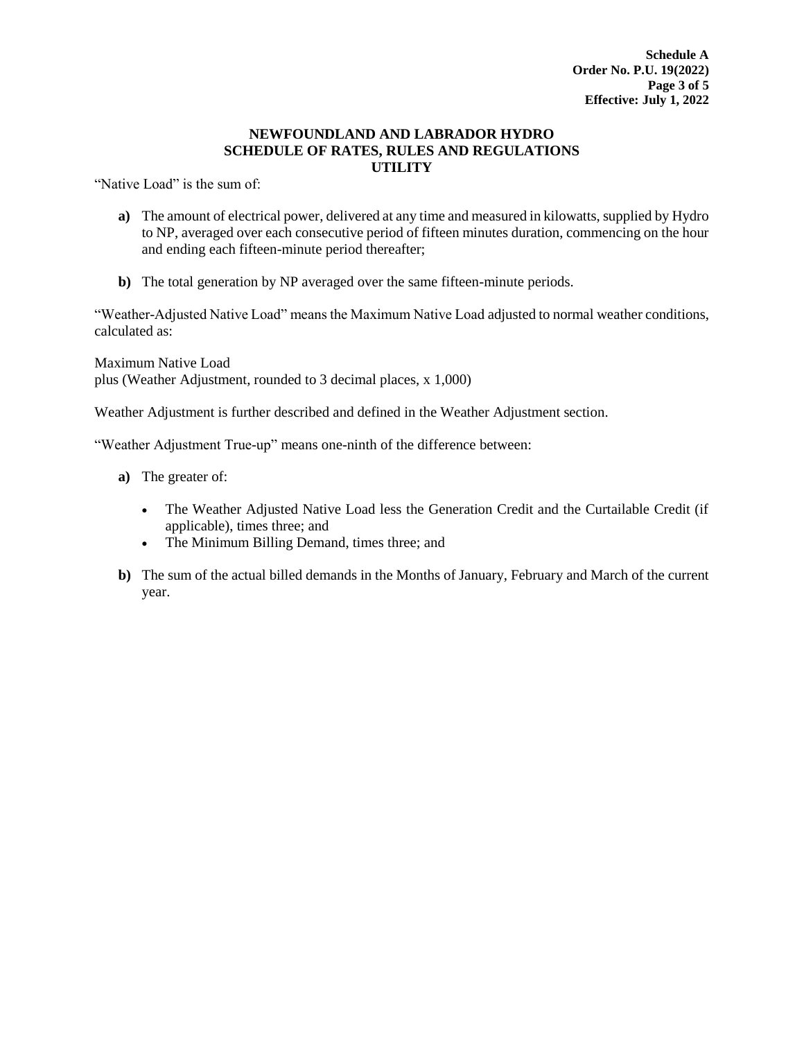"Native Load" is the sum of:

- **a)** The amount of electrical power, delivered at any time and measured in kilowatts, supplied by Hydro to NP, averaged over each consecutive period of fifteen minutes duration, commencing on the hour and ending each fifteen-minute period thereafter;
- **b)** The total generation by NP averaged over the same fifteen-minute periods.

"Weather-Adjusted Native Load" means the Maximum Native Load adjusted to normal weather conditions, calculated as:

Maximum Native Load plus (Weather Adjustment, rounded to 3 decimal places, x 1,000)

Weather Adjustment is further described and defined in the Weather Adjustment section.

"Weather Adjustment True-up" means one-ninth of the difference between:

- **a)** The greater of:
	- The Weather Adjusted Native Load less the Generation Credit and the Curtailable Credit (if applicable), times three; and
	- The Minimum Billing Demand, times three; and
- **b)** The sum of the actual billed demands in the Months of January, February and March of the current year.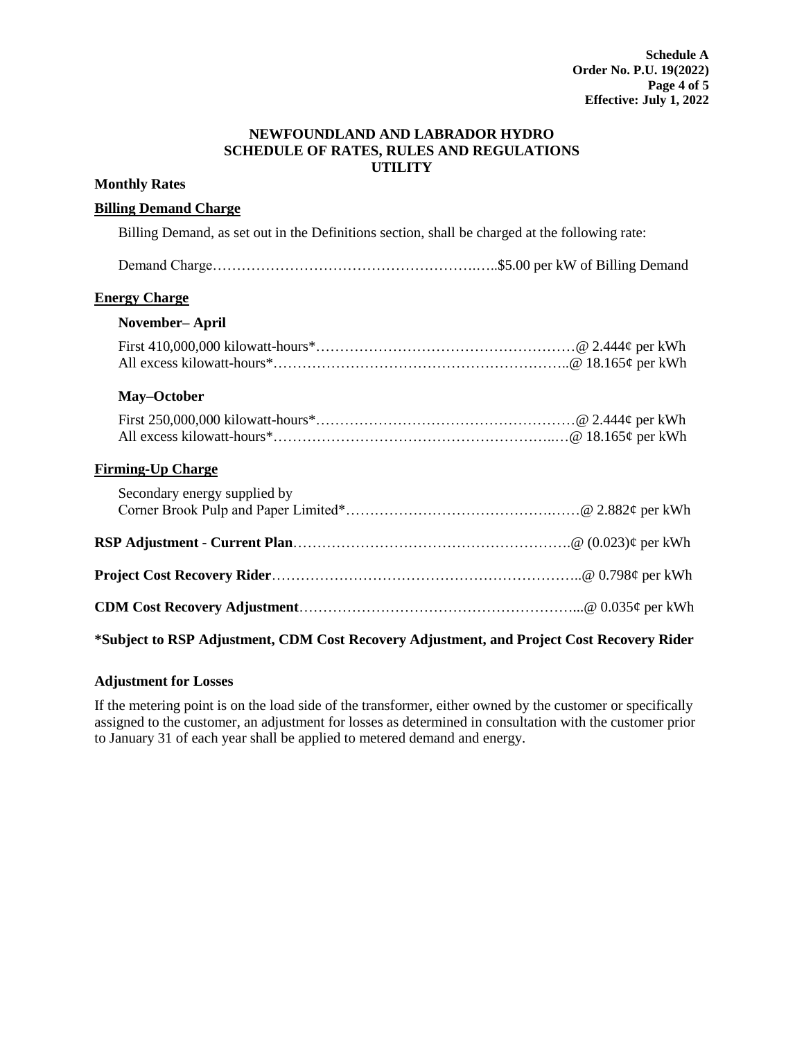#### **Monthly Rates**

#### **Billing Demand Charge**

Billing Demand, as set out in the Definitions section, shall be charged at the following rate:

| <b>Energy Charge</b>                                                                      |  |
|-------------------------------------------------------------------------------------------|--|
| November–April                                                                            |  |
|                                                                                           |  |
| May-October                                                                               |  |
|                                                                                           |  |
| <b>Firming-Up Charge</b>                                                                  |  |
| Secondary energy supplied by                                                              |  |
|                                                                                           |  |
|                                                                                           |  |
|                                                                                           |  |
| *Subject to RSP Adjustment, CDM Cost Recovery Adjustment, and Project Cost Recovery Rider |  |

# **Adjustment for Losses**

If the metering point is on the load side of the transformer, either owned by the customer or specifically assigned to the customer, an adjustment for losses as determined in consultation with the customer prior to January 31 of each year shall be applied to metered demand and energy.